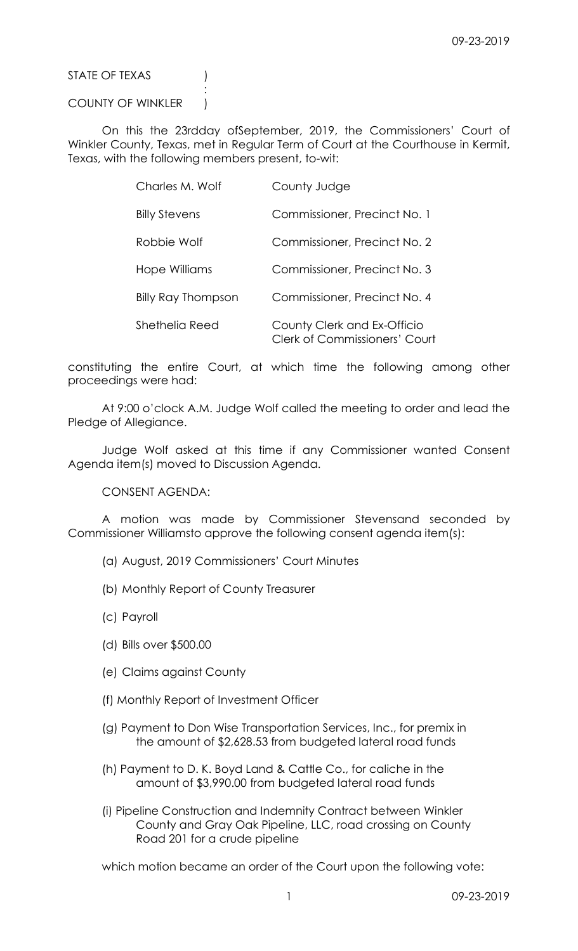STATE OF TEXAS (1)

COUNTY OF WINKLER )

**Service State State State State** 

 On this the 23rdday ofSeptember, 2019, the Commissioners' Court of Winkler County, Texas, met in Regular Term of Court at the Courthouse in Kermit, Texas, with the following members present, to-wit:

| Charles M. Wolf           | County Judge                                                        |
|---------------------------|---------------------------------------------------------------------|
| <b>Billy Stevens</b>      | Commissioner, Precinct No. 1                                        |
| Robbie Wolf               | Commissioner, Precinct No. 2                                        |
| Hope Williams             | Commissioner, Precinct No. 3                                        |
| <b>Billy Ray Thompson</b> | Commissioner, Precinct No. 4                                        |
| Shethelia Reed            | County Clerk and Ex-Officio<br><b>Clerk of Commissioners' Court</b> |

constituting the entire Court, at which time the following among other proceedings were had:

 At 9:00 o'clock A.M. Judge Wolf called the meeting to order and lead the Pledge of Allegiance.

 Judge Wolf asked at this time if any Commissioner wanted Consent Agenda item(s) moved to Discussion Agenda.

CONSENT AGENDA:

 A motion was made by Commissioner Stevensand seconded by Commissioner Williamsto approve the following consent agenda item(s):

- (a) August, 2019 Commissioners' Court Minutes
- (b) Monthly Report of County Treasurer
- (c) Payroll
- (d) Bills over \$500.00
- (e) Claims against County
- (f) Monthly Report of Investment Officer
- (g) Payment to Don Wise Transportation Services, Inc., for premix in the amount of \$2,628.53 from budgeted lateral road funds
- (h) Payment to D. K. Boyd Land & Cattle Co., for caliche in the amount of \$3,990.00 from budgeted lateral road funds
- (i) Pipeline Construction and Indemnity Contract between Winkler County and Gray Oak Pipeline, LLC, road crossing on County Road 201 for a crude pipeline

which motion became an order of the Court upon the following vote: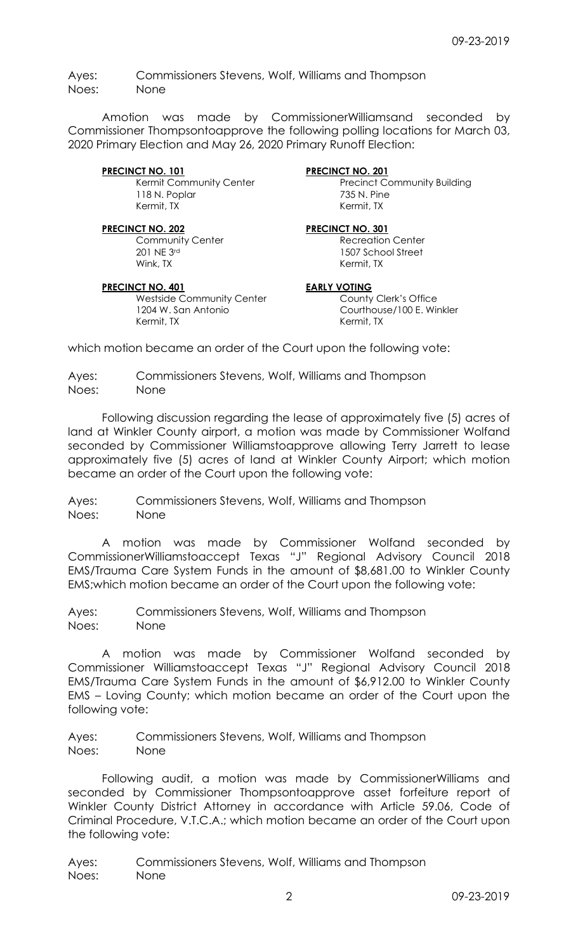Ayes: Commissioners Stevens, Wolf, Williams and Thompson Noes: None

 Amotion was made by CommissionerWilliamsand seconded by Commissioner Thompsontoapprove the following polling locations for March 03, 2020 Primary Election and May 26, 2020 Primary Runoff Election:

PRECINCT NO. 101<br>
Kermit Community Center<br>
Precinct Community Center 118 N. Poplar 235 N. Pine Kermit, TX Kermit, TX

Community Center Recreation Center<br>
201 NF 3rd<br>
201 NF 3rd<br>
201 NF 3rd<br>
201 NF 3rd<br>
201 NF 3rd<br>
201 NF 3rd<br>
201 NF 3rd<br>
201 NF 3rd<br>
201 NF 3rd<br>
201 NF 3rd<br>
201 NF 3rd<br>
201 NF 3rd<br>
201 NF 3rd<br>
201 NF 3rd<br>
201 NF 3rd<br>
201 NF Wink, TX **Kermit, TX** Kermit, TX

# PRECINCT NO. 401 EARLY VOTING

Westside Community Center **County Clerk's Office**  1204 W. San Antonio Courthouse/100 E. Winkler Kermit, TX

Precinct Community Building

## PRECINCT NO. 202 PRECINCT NO. 301

1507 School Street

which motion became an order of the Court upon the following vote:

Ayes: Commissioners Stevens, Wolf, Williams and Thompson Noes: None

 Following discussion regarding the lease of approximately five (5) acres of land at Winkler County airport, a motion was made by Commissioner Wolfand seconded by Commissioner Williamstoapprove allowing Terry Jarrett to lease approximately five (5) acres of land at Winkler County Airport; which motion became an order of the Court upon the following vote:

Ayes: Commissioners Stevens, Wolf, Williams and Thompson Noes: None

 A motion was made by Commissioner Wolfand seconded by CommissionerWilliamstoaccept Texas "J" Regional Advisory Council 2018 EMS/Trauma Care System Funds in the amount of \$8,681.00 to Winkler County EMS;which motion became an order of the Court upon the following vote:

Ayes: Commissioners Stevens, Wolf, Williams and Thompson Noes: None

 A motion was made by Commissioner Wolfand seconded by Commissioner Williamstoaccept Texas "J" Regional Advisory Council 2018 EMS/Trauma Care System Funds in the amount of \$6,912.00 to Winkler County EMS – Loving County; which motion became an order of the Court upon the following vote:

Ayes: Commissioners Stevens, Wolf, Williams and Thompson Noes: None

 Following audit, a motion was made by CommissionerWilliams and seconded by Commissioner Thompsontoapprove asset forfeiture report of Winkler County District Attorney in accordance with Article 59.06, Code of Criminal Procedure, V.T.C.A.; which motion became an order of the Court upon the following vote:

Ayes: Commissioners Stevens, Wolf, Williams and Thompson Noes: None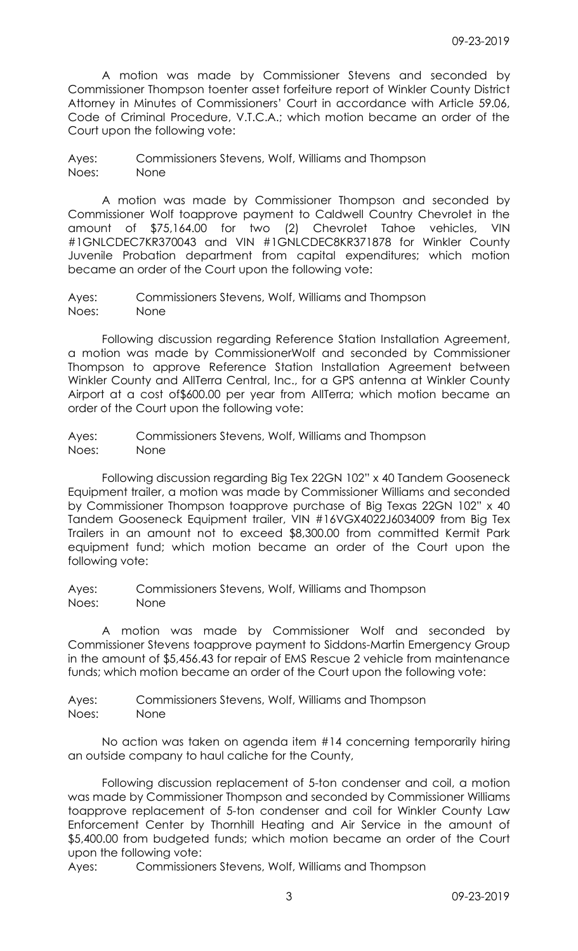A motion was made by Commissioner Stevens and seconded by Commissioner Thompson toenter asset forfeiture report of Winkler County District Attorney in Minutes of Commissioners' Court in accordance with Article 59.06, Code of Criminal Procedure, V.T.C.A.; which motion became an order of the Court upon the following vote:

Ayes: Commissioners Stevens, Wolf, Williams and Thompson Noes: None

 A motion was made by Commissioner Thompson and seconded by Commissioner Wolf toapprove payment to Caldwell Country Chevrolet in the amount of \$75,164.00 for two (2) Chevrolet Tahoe vehicles, VIN #1GNLCDEC7KR370043 and VIN #1GNLCDEC8KR371878 for Winkler County Juvenile Probation department from capital expenditures; which motion became an order of the Court upon the following vote:

Ayes: Commissioners Stevens, Wolf, Williams and Thompson Noes: None

 Following discussion regarding Reference Station Installation Agreement, a motion was made by CommissionerWolf and seconded by Commissioner Thompson to approve Reference Station Installation Agreement between Winkler County and AllTerra Central, Inc., for a GPS antenna at Winkler County Airport at a cost of\$600.00 per year from AllTerra; which motion became an order of the Court upon the following vote:

Ayes: Commissioners Stevens, Wolf, Williams and Thompson Noes: None

 Following discussion regarding Big Tex 22GN 102" x 40 Tandem Gooseneck Equipment trailer, a motion was made by Commissioner Williams and seconded by Commissioner Thompson toapprove purchase of Big Texas 22GN 102" x 40 Tandem Gooseneck Equipment trailer, VIN #16VGX4022J6034009 from Big Tex Trailers in an amount not to exceed \$8,300.00 from committed Kermit Park equipment fund; which motion became an order of the Court upon the following vote:

Ayes: Commissioners Stevens, Wolf, Williams and Thompson Noes: None

 A motion was made by Commissioner Wolf and seconded by Commissioner Stevens toapprove payment to Siddons-Martin Emergency Group in the amount of \$5,456.43 for repair of EMS Rescue 2 vehicle from maintenance funds; which motion became an order of the Court upon the following vote:

Ayes: Commissioners Stevens, Wolf, Williams and Thompson Noes: None

 No action was taken on agenda item #14 concerning temporarily hiring an outside company to haul caliche for the County,

 Following discussion replacement of 5-ton condenser and coil, a motion was made by Commissioner Thompson and seconded by Commissioner Williams toapprove replacement of 5-ton condenser and coil for Winkler County Law Enforcement Center by Thornhill Heating and Air Service in the amount of \$5,400.00 from budgeted funds; which motion became an order of the Court upon the following vote:

Ayes: Commissioners Stevens, Wolf, Williams and Thompson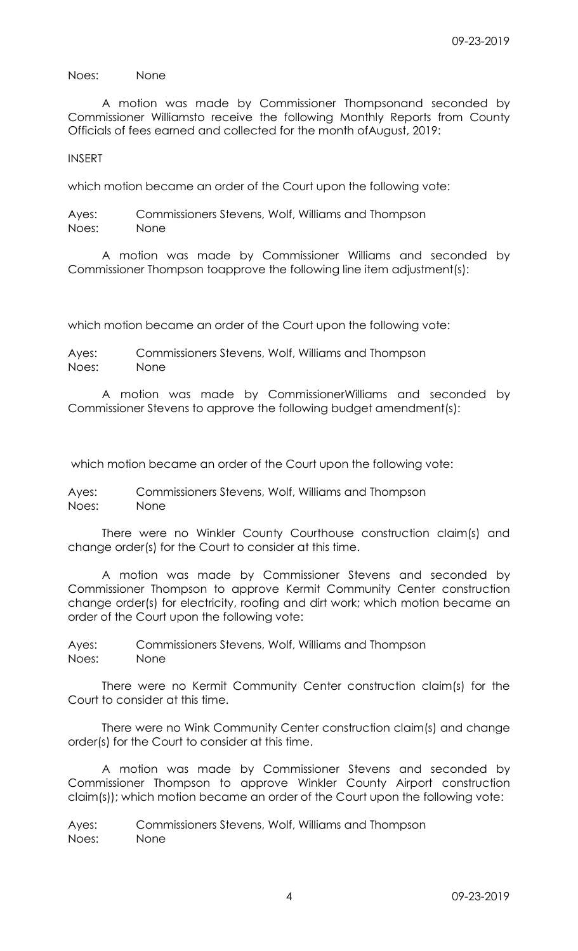Noes: None

 A motion was made by Commissioner Thompsonand seconded by Commissioner Williamsto receive the following Monthly Reports from County Officials of fees earned and collected for the month ofAugust, 2019:

INSERT

which motion became an order of the Court upon the following vote:

Ayes: Commissioners Stevens, Wolf, Williams and Thompson Noes: None

 A motion was made by Commissioner Williams and seconded by Commissioner Thompson toapprove the following line item adjustment(s):

which motion became an order of the Court upon the following vote:

Ayes: Commissioners Stevens, Wolf, Williams and Thompson Noes: None

 A motion was made by CommissionerWilliams and seconded by Commissioner Stevens to approve the following budget amendment(s):

which motion became an order of the Court upon the following vote:

Ayes: Commissioners Stevens, Wolf, Williams and Thompson Noes: None

 There were no Winkler County Courthouse construction claim(s) and change order(s) for the Court to consider at this time.

 A motion was made by Commissioner Stevens and seconded by Commissioner Thompson to approve Kermit Community Center construction change order(s) for electricity, roofing and dirt work; which motion became an order of the Court upon the following vote:

Ayes: Commissioners Stevens, Wolf, Williams and Thompson Noes: None

 There were no Kermit Community Center construction claim(s) for the Court to consider at this time.

 There were no Wink Community Center construction claim(s) and change order(s) for the Court to consider at this time.

 A motion was made by Commissioner Stevens and seconded by Commissioner Thompson to approve Winkler County Airport construction claim(s)); which motion became an order of the Court upon the following vote:

Ayes: Commissioners Stevens, Wolf, Williams and Thompson Noes: None